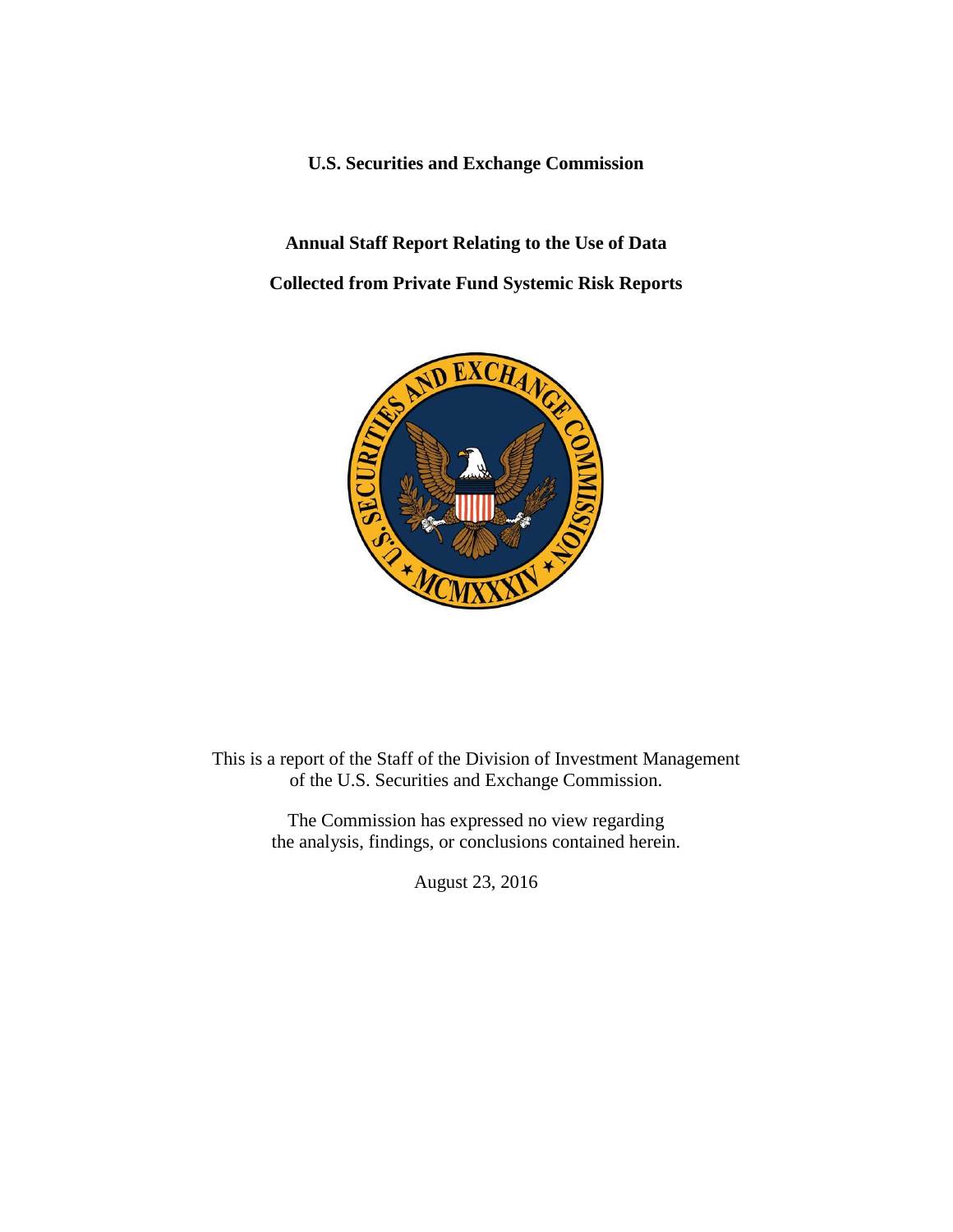**U.S. Securities and Exchange Commission**

**Annual Staff Report Relating to the Use of Data Collected from Private Fund Systemic Risk Reports**



This is a report of the Staff of the Division of Investment Management of the U.S. Securities and Exchange Commission.

> The Commission has expressed no view regarding the analysis, findings, or conclusions contained herein.

> > August 23, 2016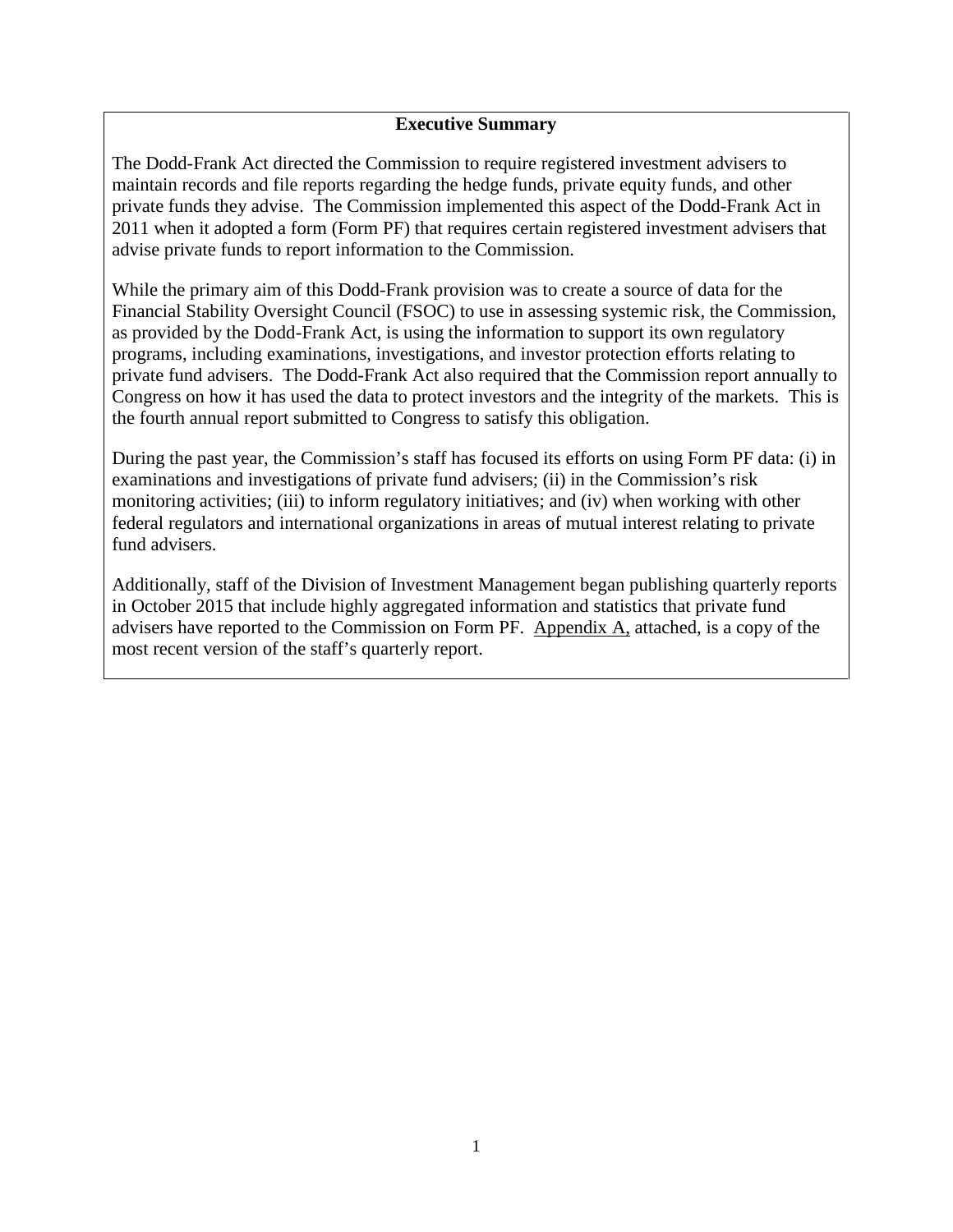### **Executive Summary**

The Dodd-Frank Act directed the Commission to require registered investment advisers to maintain records and file reports regarding the hedge funds, private equity funds, and other private funds they advise. The Commission implemented this aspect of the Dodd-Frank Act in 2011 when it adopted a form (Form PF) that requires certain registered investment advisers that advise private funds to report information to the Commission.

While the primary aim of this Dodd-Frank provision was to create a source of data for the Financial Stability Oversight Council (FSOC) to use in assessing systemic risk, the Commission, as provided by the Dodd-Frank Act, is using the information to support its own regulatory programs, including examinations, investigations, and investor protection efforts relating to private fund advisers. The Dodd-Frank Act also required that the Commission report annually to Congress on how it has used the data to protect investors and the integrity of the markets. This is the fourth annual report submitted to Congress to satisfy this obligation.

During the past year, the Commission's staff has focused its efforts on using Form PF data: (i) in examinations and investigations of private fund advisers; (ii) in the Commission's risk monitoring activities; (iii) to inform regulatory initiatives; and (iv) when working with other federal regulators and international organizations in areas of mutual interest relating to private fund advisers.

Additionally, staff of the Division of Investment Management began publishing quarterly reports in October 2015 that include highly aggregated information and statistics that private fund advisers have reported to the Commission on Form PF. Appendix A, attached, is a copy of the most recent version of the staff's quarterly report.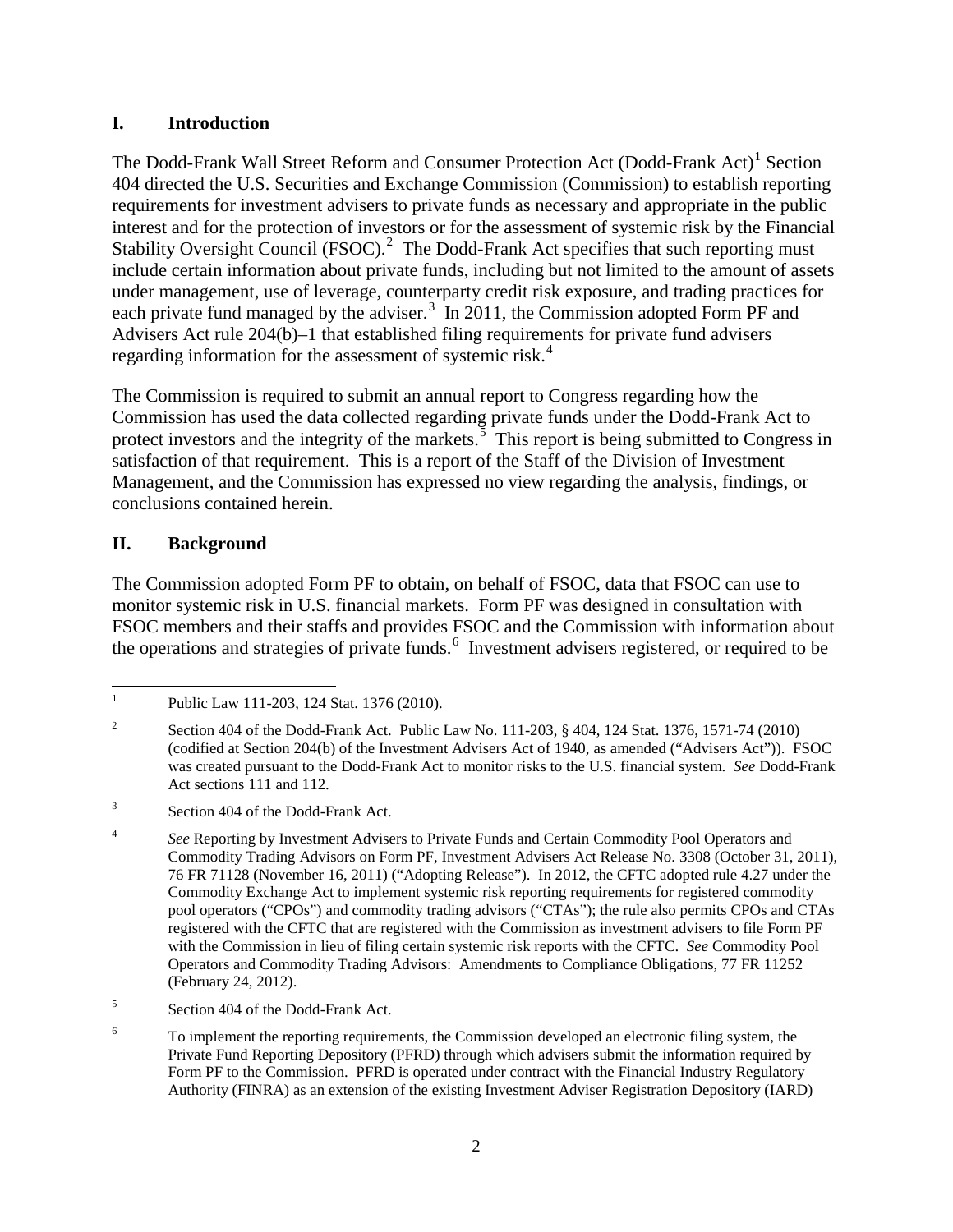## **I. Introduction**

The Dodd-Frank Wall Street Reform and Consumer Protection Act (Dodd-Frank Act)<sup>[1](#page-2-0)</sup> Section 404 directed the U.S. Securities and Exchange Commission (Commission) to establish reporting requirements for investment advisers to private funds as necessary and appropriate in the public interest and for the protection of investors or for the assessment of systemic risk by the Financial Stability Oversight Council (FSOC). $^2$  $^2$  The Dodd-Frank Act specifies that such reporting must include certain information about private funds, including but not limited to the amount of assets under management, use of leverage, counterparty credit risk exposure, and trading practices for each private fund managed by the adviser.<sup>[3](#page-2-2)</sup> In 2011, the Commission adopted Form PF and Advisers Act rule 204(b)–1 that established filing requirements for private fund advisers regarding information for the assessment of systemic risk.<sup>[4](#page-2-3)</sup>

The Commission is required to submit an annual report to Congress regarding how the Commission has used the data collected regarding private funds under the Dodd-Frank Act to protect investors and the integrity of the markets. $5$  This report is being submitted to Congress in satisfaction of that requirement. This is a report of the Staff of the Division of Investment Management, and the Commission has expressed no view regarding the analysis, findings, or conclusions contained herein.

# **II. Background**

The Commission adopted Form PF to obtain, on behalf of FSOC, data that FSOC can use to monitor systemic risk in U.S. financial markets. Form PF was designed in consultation with FSOC members and their staffs and provides FSOC and the Commission with information about the operations and strategies of private funds.<sup>[6](#page-2-5)</sup> Investment advisers registered, or required to be

<span id="page-2-0"></span><sup>&</sup>lt;sup>1</sup> Public Law 111-203, 124 Stat. 1376 (2010).

<span id="page-2-1"></span><sup>&</sup>lt;sup>2</sup> Section 404 of the Dodd-Frank Act. Public Law No. 111-203,  $\S$  404, 124 Stat. 1376, 1571-74 (2010) (codified at Section 204(b) of the Investment Advisers Act of 1940, as amended ("Advisers Act")). FSOC was created pursuant to the Dodd-Frank Act to monitor risks to the U.S. financial system. *See* Dodd-Frank Act sections 111 and 112.

<span id="page-2-2"></span><sup>&</sup>lt;sup>3</sup> Section 404 of the Dodd-Frank Act.

<span id="page-2-3"></span><sup>&</sup>lt;sup>4</sup> See Reporting by Investment Advisers to Private Funds and Certain Commodity Pool Operators and Commodity Trading Advisors on Form PF, Investment Advisers Act Release No. 3308 (October 31, 2011), 76 FR 71128 (November 16, 2011) ("Adopting Release"). In 2012, the CFTC adopted rule 4.27 under the Commodity Exchange Act to implement systemic risk reporting requirements for registered commodity pool operators ("CPOs") and commodity trading advisors ("CTAs"); the rule also permits CPOs and CTAs registered with the CFTC that are registered with the Commission as investment advisers to file Form PF with the Commission in lieu of filing certain systemic risk reports with the CFTC. *See* Commodity Pool Operators and Commodity Trading Advisors: Amendments to Compliance Obligations, 77 FR 11252 (February 24, 2012).

<span id="page-2-4"></span><sup>5</sup> Section 404 of the Dodd-Frank Act.

<span id="page-2-5"></span><sup>6</sup> To implement the reporting requirements, the Commission developed an electronic filing system, the Private Fund Reporting Depository (PFRD) through which advisers submit the information required by Form PF to the Commission. PFRD is operated under contract with the Financial Industry Regulatory Authority (FINRA) as an extension of the existing Investment Adviser Registration Depository (IARD)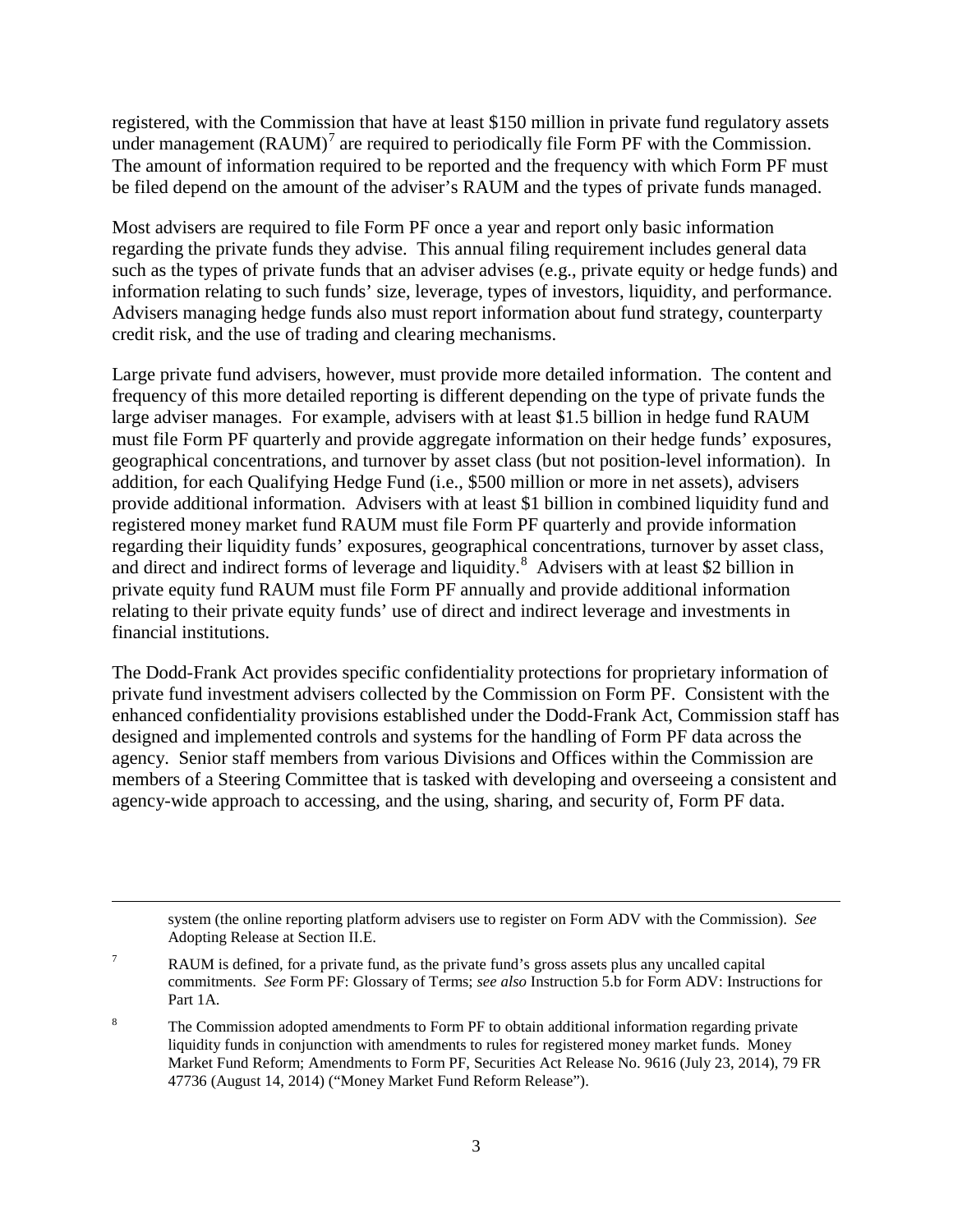registered, with the Commission that have at least \$150 million in private fund regulatory assets under management  $(RAUM)^7$  $(RAUM)^7$  are required to periodically file Form PF with the Commission. The amount of information required to be reported and the frequency with which Form PF must be filed depend on the amount of the adviser's RAUM and the types of private funds managed.

Most advisers are required to file Form PF once a year and report only basic information regarding the private funds they advise. This annual filing requirement includes general data such as the types of private funds that an adviser advises (e.g., private equity or hedge funds) and information relating to such funds' size, leverage, types of investors, liquidity, and performance. Advisers managing hedge funds also must report information about fund strategy, counterparty credit risk, and the use of trading and clearing mechanisms.

Large private fund advisers, however, must provide more detailed information. The content and frequency of this more detailed reporting is different depending on the type of private funds the large adviser manages. For example, advisers with at least \$1.5 billion in hedge fund RAUM must file Form PF quarterly and provide aggregate information on their hedge funds' exposures, geographical concentrations, and turnover by asset class (but not position-level information). In addition, for each Qualifying Hedge Fund (i.e., \$500 million or more in net assets), advisers provide additional information. Advisers with at least \$1 billion in combined liquidity fund and registered money market fund RAUM must file Form PF quarterly and provide information regarding their liquidity funds' exposures, geographical concentrations, turnover by asset class, and direct and indirect forms of leverage and liquidity.<sup>[8](#page-3-1)</sup> Advisers with at least \$2 billion in private equity fund RAUM must file Form PF annually and provide additional information relating to their private equity funds' use of direct and indirect leverage and investments in financial institutions.

The Dodd-Frank Act provides specific confidentiality protections for proprietary information of private fund investment advisers collected by the Commission on Form PF. Consistent with the enhanced confidentiality provisions established under the Dodd-Frank Act, Commission staff has designed and implemented controls and systems for the handling of Form PF data across the agency. Senior staff members from various Divisions and Offices within the Commission are members of a Steering Committee that is tasked with developing and overseeing a consistent and agency-wide approach to accessing, and the using, sharing, and security of, Form PF data.

system (the online reporting platform advisers use to register on Form ADV with the Commission). *See* Adopting Release at Section II.E.

<span id="page-3-0"></span> $7 \text{ RAUM}$  is defined, for a private fund, as the private fund's gross assets plus any uncalled capital commitments. *See* Form PF: Glossary of Terms; *see also* Instruction 5.b for Form ADV: Instructions for Part 1A.

l

<span id="page-3-1"></span><sup>8</sup> The Commission adopted amendments to Form PF to obtain additional information regarding private liquidity funds in conjunction with amendments to rules for registered money market funds. Money Market Fund Reform; Amendments to Form PF, Securities Act Release No. 9616 (July 23, 2014), 79 FR 47736 (August 14, 2014) ("Money Market Fund Reform Release").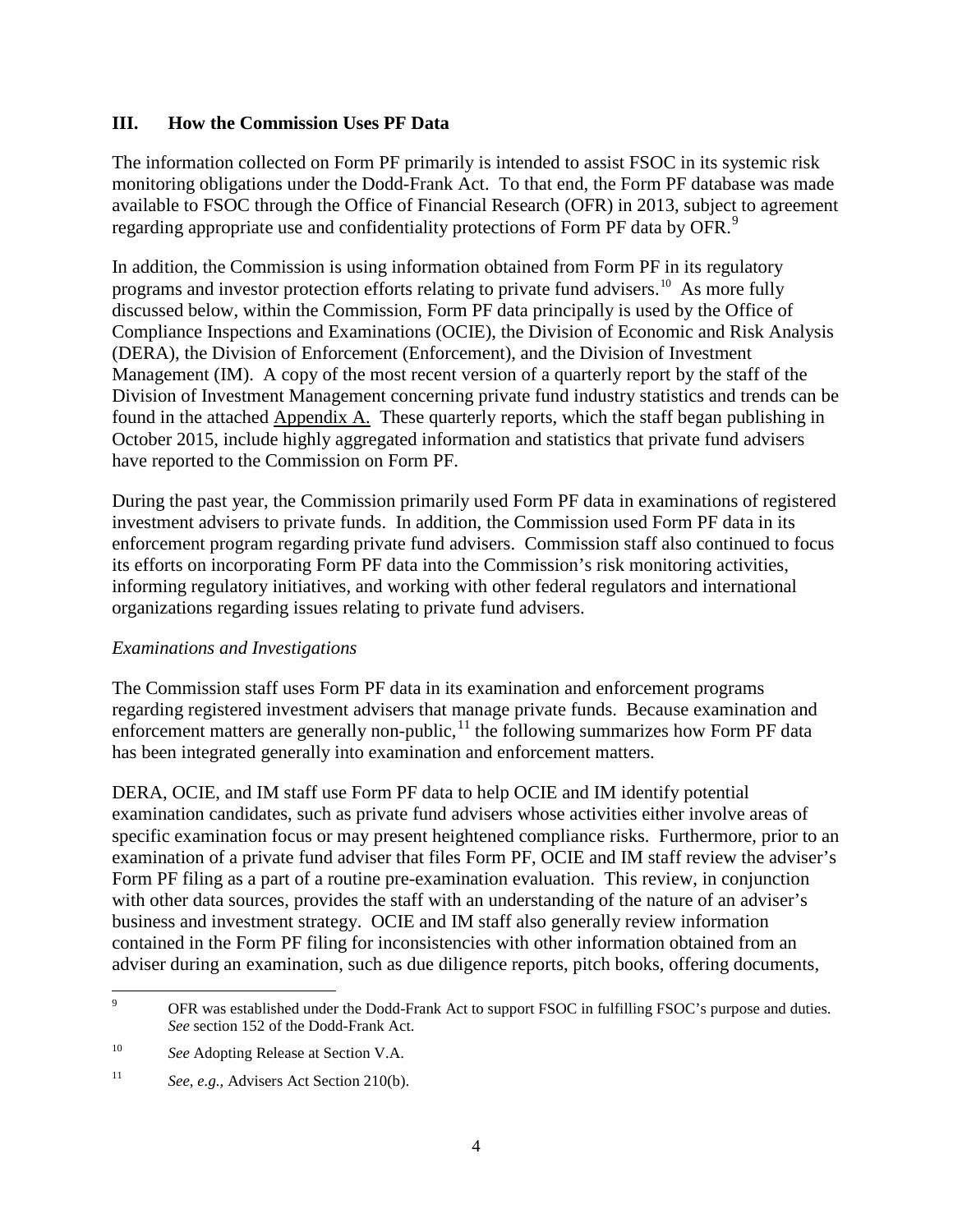### **III. How the Commission Uses PF Data**

The information collected on Form PF primarily is intended to assist FSOC in its systemic risk monitoring obligations under the Dodd-Frank Act. To that end, the Form PF database was made available to FSOC through the Office of Financial Research (OFR) in 2013, subject to agreement regarding appropriate use and confidentiality protections of Form PF data by OFR.<sup>[9](#page-4-0)</sup>

In addition, the Commission is using information obtained from Form PF in its regulatory programs and investor protection efforts relating to private fund advisers.<sup>[10](#page-4-1)</sup> As more fully discussed below, within the Commission, Form PF data principally is used by the Office of Compliance Inspections and Examinations (OCIE), the Division of Economic and Risk Analysis (DERA), the Division of Enforcement (Enforcement), and the Division of Investment Management (IM). A copy of the most recent version of a quarterly report by the staff of the Division of Investment Management concerning private fund industry statistics and trends can be found in the attached Appendix A. These quarterly reports, which the staff began publishing in October 2015, include highly aggregated information and statistics that private fund advisers have reported to the Commission on Form PF.

During the past year, the Commission primarily used Form PF data in examinations of registered investment advisers to private funds. In addition, the Commission used Form PF data in its enforcement program regarding private fund advisers. Commission staff also continued to focus its efforts on incorporating Form PF data into the Commission's risk monitoring activities, informing regulatory initiatives, and working with other federal regulators and international organizations regarding issues relating to private fund advisers.

#### *Examinations and Investigations*

The Commission staff uses Form PF data in its examination and enforcement programs regarding registered investment advisers that manage private funds. Because examination and enforcement matters are generally non-public,<sup>[11](#page-4-2)</sup> the following summarizes how Form PF data has been integrated generally into examination and enforcement matters.

DERA, OCIE, and IM staff use Form PF data to help OCIE and IM identify potential examination candidates, such as private fund advisers whose activities either involve areas of specific examination focus or may present heightened compliance risks. Furthermore, prior to an examination of a private fund adviser that files Form PF, OCIE and IM staff review the adviser's Form PF filing as a part of a routine pre-examination evaluation. This review, in conjunction with other data sources, provides the staff with an understanding of the nature of an adviser's business and investment strategy. OCIE and IM staff also generally review information contained in the Form PF filing for inconsistencies with other information obtained from an adviser during an examination, such as due diligence reports, pitch books, offering documents,

<span id="page-4-0"></span><sup>&</sup>lt;sup>9</sup> OFR was established under the Dodd-Frank Act to support FSOC in fulfilling FSOC's purpose and duties. *See* section 152 of the Dodd-Frank Act.

<span id="page-4-1"></span><sup>&</sup>lt;sup>10</sup> *See* Adopting Release at Section V.A.

<span id="page-4-2"></span><sup>&</sup>lt;sup>11</sup> *See, e.g.,* Advisers Act Section 210(b).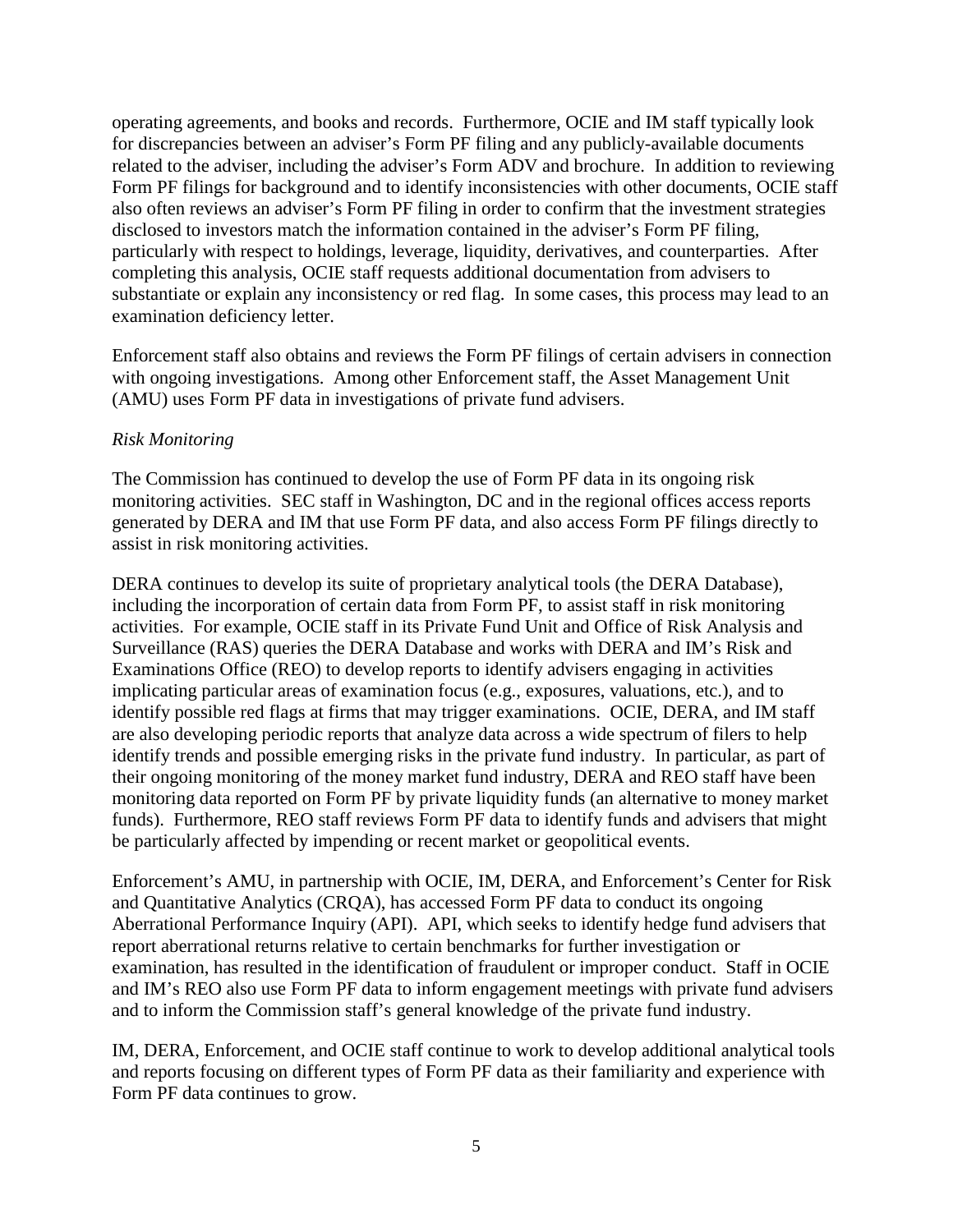operating agreements, and books and records. Furthermore, OCIE and IM staff typically look for discrepancies between an adviser's Form PF filing and any publicly-available documents related to the adviser, including the adviser's Form ADV and brochure. In addition to reviewing Form PF filings for background and to identify inconsistencies with other documents, OCIE staff also often reviews an adviser's Form PF filing in order to confirm that the investment strategies disclosed to investors match the information contained in the adviser's Form PF filing, particularly with respect to holdings, leverage, liquidity, derivatives, and counterparties. After completing this analysis, OCIE staff requests additional documentation from advisers to substantiate or explain any inconsistency or red flag. In some cases, this process may lead to an examination deficiency letter.

Enforcement staff also obtains and reviews the Form PF filings of certain advisers in connection with ongoing investigations. Among other Enforcement staff, the Asset Management Unit (AMU) uses Form PF data in investigations of private fund advisers.

#### *Risk Monitoring*

The Commission has continued to develop the use of Form PF data in its ongoing risk monitoring activities. SEC staff in Washington, DC and in the regional offices access reports generated by DERA and IM that use Form PF data, and also access Form PF filings directly to assist in risk monitoring activities.

DERA continues to develop its suite of proprietary analytical tools (the DERA Database), including the incorporation of certain data from Form PF, to assist staff in risk monitoring activities. For example, OCIE staff in its Private Fund Unit and Office of Risk Analysis and Surveillance (RAS) queries the DERA Database and works with DERA and IM's Risk and Examinations Office (REO) to develop reports to identify advisers engaging in activities implicating particular areas of examination focus (e.g., exposures, valuations, etc.), and to identify possible red flags at firms that may trigger examinations. OCIE, DERA, and IM staff are also developing periodic reports that analyze data across a wide spectrum of filers to help identify trends and possible emerging risks in the private fund industry. In particular, as part of their ongoing monitoring of the money market fund industry, DERA and REO staff have been monitoring data reported on Form PF by private liquidity funds (an alternative to money market funds). Furthermore, REO staff reviews Form PF data to identify funds and advisers that might be particularly affected by impending or recent market or geopolitical events.

Enforcement's AMU, in partnership with OCIE, IM, DERA, and Enforcement's Center for Risk and Quantitative Analytics (CRQA), has accessed Form PF data to conduct its ongoing Aberrational Performance Inquiry (API). API, which seeks to identify hedge fund advisers that report aberrational returns relative to certain benchmarks for further investigation or examination, has resulted in the identification of fraudulent or improper conduct. Staff in OCIE and IM's REO also use Form PF data to inform engagement meetings with private fund advisers and to inform the Commission staff's general knowledge of the private fund industry.

IM, DERA, Enforcement, and OCIE staff continue to work to develop additional analytical tools and reports focusing on different types of Form PF data as their familiarity and experience with Form PF data continues to grow.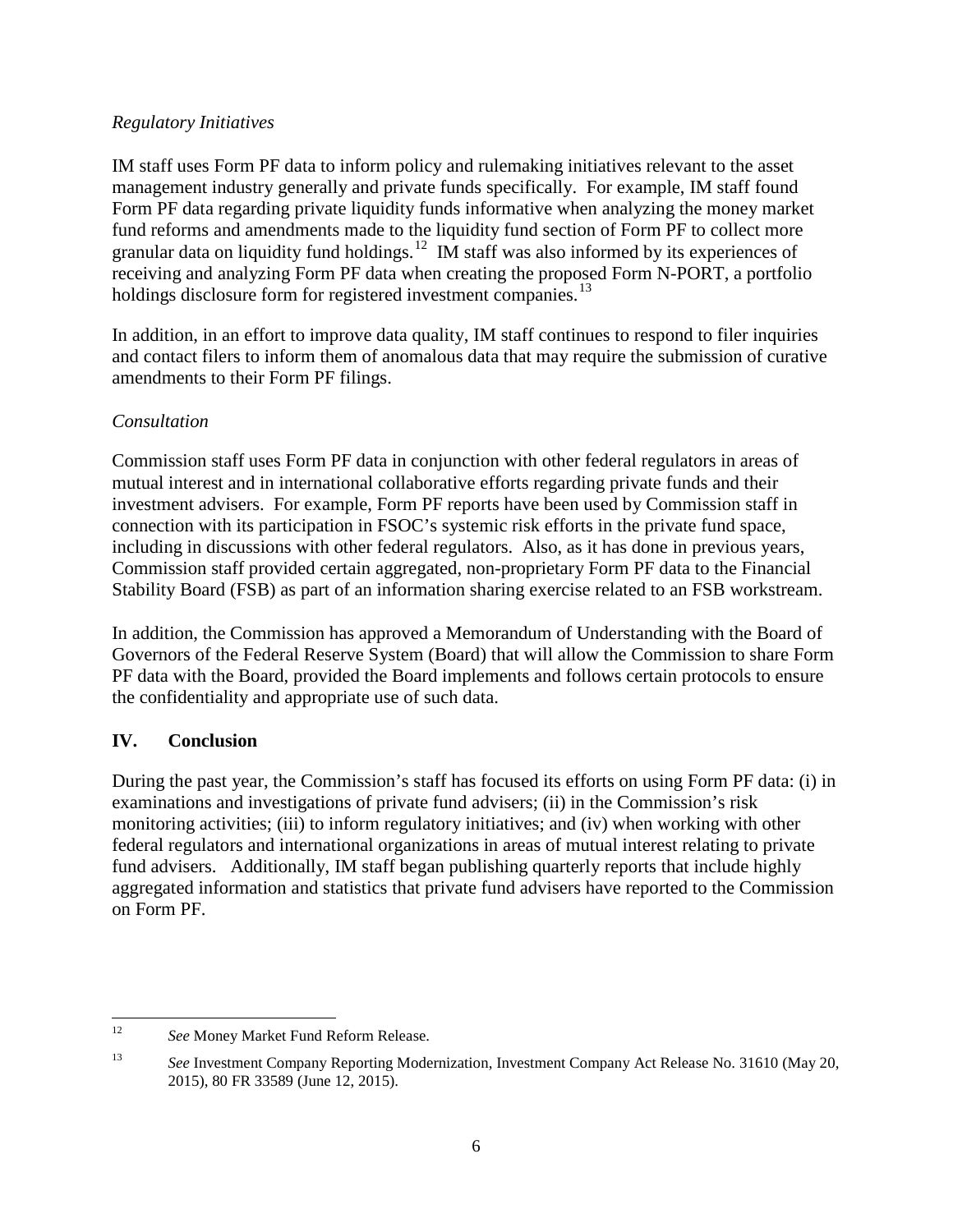## *Regulatory Initiatives*

IM staff uses Form PF data to inform policy and rulemaking initiatives relevant to the asset management industry generally and private funds specifically. For example, IM staff found Form PF data regarding private liquidity funds informative when analyzing the money market fund reforms and amendments made to the liquidity fund section of Form PF to collect more granular data on liquidity fund holdings.<sup>[12](#page-6-0)</sup> IM staff was also informed by its experiences of receiving and analyzing Form PF data when creating the proposed Form N-PORT, a portfolio holdings disclosure form for registered investment companies.<sup>[13](#page-6-1)</sup>

In addition, in an effort to improve data quality, IM staff continues to respond to filer inquiries and contact filers to inform them of anomalous data that may require the submission of curative amendments to their Form PF filings.

# *Consultation*

Commission staff uses Form PF data in conjunction with other federal regulators in areas of mutual interest and in international collaborative efforts regarding private funds and their investment advisers. For example, Form PF reports have been used by Commission staff in connection with its participation in FSOC's systemic risk efforts in the private fund space, including in discussions with other federal regulators. Also, as it has done in previous years, Commission staff provided certain aggregated, non-proprietary Form PF data to the Financial Stability Board (FSB) as part of an information sharing exercise related to an FSB workstream.

In addition, the Commission has approved a Memorandum of Understanding with the Board of Governors of the Federal Reserve System (Board) that will allow the Commission to share Form PF data with the Board, provided the Board implements and follows certain protocols to ensure the confidentiality and appropriate use of such data.

# **IV. Conclusion**

During the past year, the Commission's staff has focused its efforts on using Form PF data: (i) in examinations and investigations of private fund advisers; (ii) in the Commission's risk monitoring activities; (iii) to inform regulatory initiatives; and (iv) when working with other federal regulators and international organizations in areas of mutual interest relating to private fund advisers. Additionally, IM staff began publishing quarterly reports that include highly aggregated information and statistics that private fund advisers have reported to the Commission on Form PF.

<span id="page-6-0"></span><sup>&</sup>lt;sup>12</sup> *See* Money Market Fund Reform Release.

<span id="page-6-1"></span><sup>13</sup> *See* Investment Company Reporting Modernization, Investment Company Act Release No. 31610 (May 20, 2015), 80 FR 33589 (June 12, 2015).